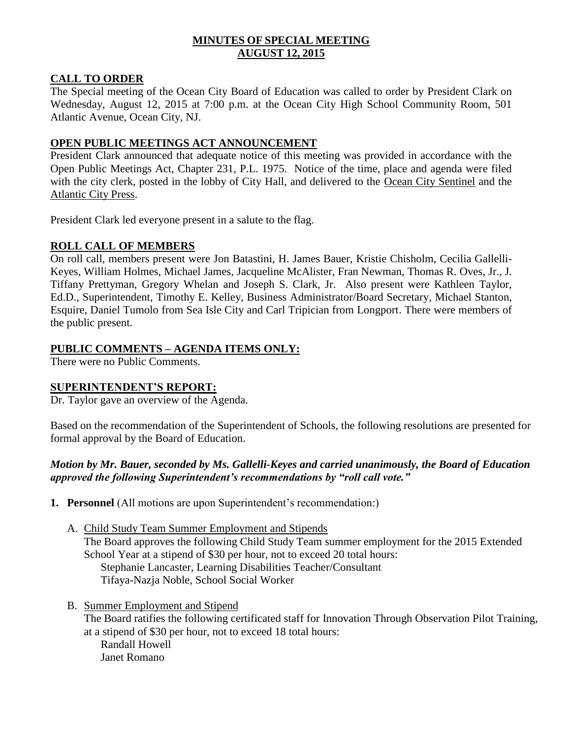# **MINUTES OF SPECIAL MEETING AUGUST 12, 2015**

# **CALL TO ORDER**

The Special meeting of the Ocean City Board of Education was called to order by President Clark on Wednesday, August 12, 2015 at 7:00 p.m. at the Ocean City High School Community Room, 501 Atlantic Avenue, Ocean City, NJ.

# **OPEN PUBLIC MEETINGS ACT ANNOUNCEMENT**

President Clark announced that adequate notice of this meeting was provided in accordance with the Open Public Meetings Act, Chapter 231, P.L. 1975. Notice of the time, place and agenda were filed with the city clerk, posted in the lobby of City Hall, and delivered to the Ocean City Sentinel and the Atlantic City Press.

President Clark led everyone present in a salute to the flag.

# **ROLL CALL OF MEMBERS**

On roll call, members present were Jon Batastini, H. James Bauer, Kristie Chisholm, Cecilia Gallelli-Keyes, William Holmes, Michael James, Jacqueline McAlister, Fran Newman, Thomas R. Oves, Jr., J. Tiffany Prettyman, Gregory Whelan and Joseph S. Clark, Jr. Also present were Kathleen Taylor, Ed.D., Superintendent, Timothy E. Kelley, Business Administrator/Board Secretary, Michael Stanton, Esquire, Daniel Tumolo from Sea Isle City and Carl Tripician from Longport. There were members of the public present.

# **PUBLIC COMMENTS – AGENDA ITEMS ONLY:**

There were no Public Comments.

### **SUPERINTENDENT'S REPORT:**

Dr. Taylor gave an overview of the Agenda.

Based on the recommendation of the Superintendent of Schools, the following resolutions are presented for formal approval by the Board of Education.

# *Motion by Mr. Bauer, seconded by Ms. Gallelli-Keyes and carried unanimously, the Board of Education approved the following Superintendent's recommendations by "roll call vote."*

**1. Personnel** (All motions are upon Superintendent's recommendation:)

- A. Child Study Team Summer Employment and Stipends The Board approves the following Child Study Team summer employment for the 2015 Extended School Year at a stipend of \$30 per hour, not to exceed 20 total hours: Stephanie Lancaster, Learning Disabilities Teacher/Consultant Tifaya-Nazja Noble, School Social Worker
- B. Summer Employment and Stipend

The Board ratifies the following certificated staff for Innovation Through Observation Pilot Training, at a stipend of \$30 per hour, not to exceed 18 total hours:

Randall Howell Janet Romano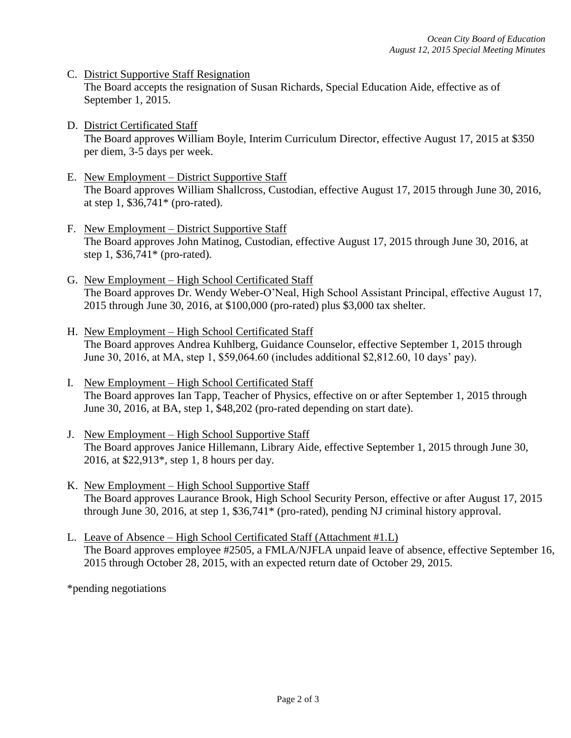- C. District Supportive Staff Resignation The Board accepts the resignation of Susan Richards, Special Education Aide, effective as of September 1, 2015.
- D. District Certificated Staff The Board approves William Boyle, Interim Curriculum Director, effective August 17, 2015 at \$350 per diem, 3-5 days per week.
- E. New Employment District Supportive Staff The Board approves William Shallcross, Custodian, effective August 17, 2015 through June 30, 2016, at step 1, \$36,741\* (pro-rated).
- F. New Employment District Supportive Staff The Board approves John Matinog, Custodian, effective August 17, 2015 through June 30, 2016, at step 1, \$36,741\* (pro-rated).
- G. New Employment High School Certificated Staff The Board approves Dr. Wendy Weber-O'Neal, High School Assistant Principal, effective August 17, 2015 through June 30, 2016, at \$100,000 (pro-rated) plus \$3,000 tax shelter.
- H. New Employment High School Certificated Staff The Board approves Andrea Kuhlberg, Guidance Counselor, effective September 1, 2015 through June 30, 2016, at MA, step 1, \$59,064.60 (includes additional \$2,812.60, 10 days' pay).
- I. New Employment High School Certificated Staff The Board approves Ian Tapp, Teacher of Physics, effective on or after September 1, 2015 through June 30, 2016, at BA, step 1, \$48,202 (pro-rated depending on start date).
- J. New Employment High School Supportive Staff The Board approves Janice Hillemann, Library Aide, effective September 1, 2015 through June 30, 2016, at \$22,913\*, step 1, 8 hours per day.
- K. New Employment High School Supportive Staff The Board approves Laurance Brook, High School Security Person, effective or after August 17, 2015 through June 30, 2016, at step 1, \$36,741\* (pro-rated), pending NJ criminal history approval.
- L. Leave of Absence High School Certificated Staff (Attachment #1.L) The Board approves employee #2505, a FMLA/NJFLA unpaid leave of absence, effective September 16, 2015 through October 28, 2015, with an expected return date of October 29, 2015.

\*pending negotiations